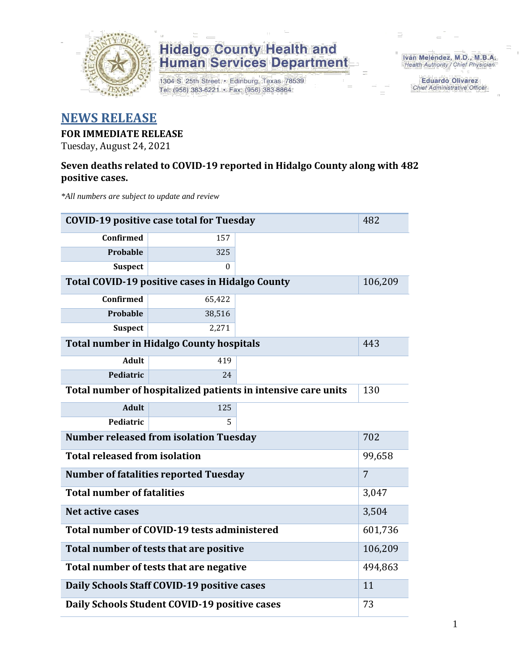

1304 S. 25th Street · Edinburg, Texas 78539 Tel: (956) 383-6221 · Fax: (956) 383-8864

Iván Meléndez, M.D., M.B.A. Health Authority / Chief Physician

> **Eduardo Olivarez Chief Administrative Officer**

#### **NEWS RELEASE**

#### **FOR IMMEDIATE RELEASE**

Tuesday, August 24, 2021

#### **Seven deaths related to COVID-19 reported in Hidalgo County along with 482 positive cases.**

*\*All numbers are subject to update and review*

| <b>COVID-19 positive case total for Tuesday</b> | 482                                                           |         |                |
|-------------------------------------------------|---------------------------------------------------------------|---------|----------------|
| Confirmed                                       | 157                                                           |         |                |
| Probable                                        | 325                                                           |         |                |
| <b>Suspect</b>                                  | $\Omega$                                                      |         |                |
| Total COVID-19 positive cases in Hidalgo County | 106,209                                                       |         |                |
| <b>Confirmed</b>                                | 65,422                                                        |         |                |
| Probable                                        | 38,516                                                        |         |                |
| <b>Suspect</b>                                  | 2,271                                                         |         |                |
|                                                 | <b>Total number in Hidalgo County hospitals</b>               |         | 443            |
| <b>Adult</b>                                    | 419                                                           |         |                |
| Pediatric                                       | 24                                                            |         |                |
|                                                 | Total number of hospitalized patients in intensive care units | 130     |                |
| <b>Adult</b>                                    | 125                                                           |         |                |
| Pediatric                                       | 5                                                             |         |                |
|                                                 | <b>Number released from isolation Tuesday</b>                 |         | 702            |
| <b>Total released from isolation</b>            |                                                               |         | 99,658         |
|                                                 | <b>Number of fatalities reported Tuesday</b>                  |         | $\overline{7}$ |
| <b>Total number of fatalities</b>               |                                                               |         | 3,047          |
| Net active cases                                |                                                               |         | 3,504          |
|                                                 | Total number of COVID-19 tests administered                   |         | 601,736        |
| Total number of tests that are positive         |                                                               | 106,209 |                |
| Total number of tests that are negative         |                                                               | 494,863 |                |
| Daily Schools Staff COVID-19 positive cases     |                                                               | 11      |                |
| Daily Schools Student COVID-19 positive cases   | 73                                                            |         |                |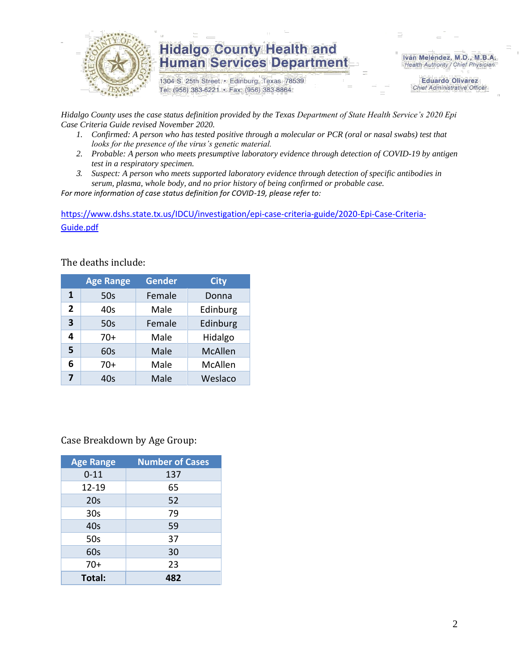

1304 S. 25th Street · Edinburg, Texas 78539 Tel: (956) 383-6221 · Fax: (956) 383-8864

Iván Meléndez, M.D., M.B.A. Health Authority / Chief Physician

> **Eduardo Olivarez Chief Administrative Officer**

*Hidalgo County uses the case status definition provided by the Texas Department of State Health Service's 2020 Epi Case Criteria Guide revised November 2020.*

- *1. Confirmed: A person who has tested positive through a molecular or PCR (oral or nasal swabs) test that looks for the presence of the virus's genetic material.*
- *2. Probable: A person who meets presumptive laboratory evidence through detection of COVID-19 by antigen test in a respiratory specimen.*
- *3. Suspect: A person who meets supported laboratory evidence through detection of specific antibodies in serum, plasma, whole body, and no prior history of being confirmed or probable case.*

*For more information of case status definition for COVID-19, please refer to:*

[https://www.dshs.state.tx.us/IDCU/investigation/epi-case-criteria-guide/2020-Epi-Case-Criteria-](https://www.dshs.state.tx.us/IDCU/investigation/epi-case-criteria-guide/2020-Epi-Case-Criteria-Guide.pdf)[Guide.pdf](https://www.dshs.state.tx.us/IDCU/investigation/epi-case-criteria-guide/2020-Epi-Case-Criteria-Guide.pdf)

The deaths include:

|                | <b>Age Range</b> | Gender | <b>City</b>    |
|----------------|------------------|--------|----------------|
| 1              | 50s              | Female | Donna          |
| $\overline{2}$ | 40s              | Male   | Edinburg       |
| 3              | 50s              | Female | Edinburg       |
| 4              | $70+$            | Male   | Hidalgo        |
| 5              | 60s              | Male   | <b>McAllen</b> |
| 6              | $70+$            | Male   | McAllen        |
| 7              | 40s              | Male   | Weslaco        |

Case Breakdown by Age Group:

| <b>Age Range</b> | <b>Number of Cases</b> |  |  |  |
|------------------|------------------------|--|--|--|
| $0 - 11$         | 137                    |  |  |  |
| 12-19            | 65                     |  |  |  |
| 20s              | 52                     |  |  |  |
| 30 <sub>s</sub>  | 79                     |  |  |  |
| 40s              | 59                     |  |  |  |
| 50s              | 37                     |  |  |  |
| 60s              | 30                     |  |  |  |
| $70+$            | 23                     |  |  |  |
| Total:           | 482                    |  |  |  |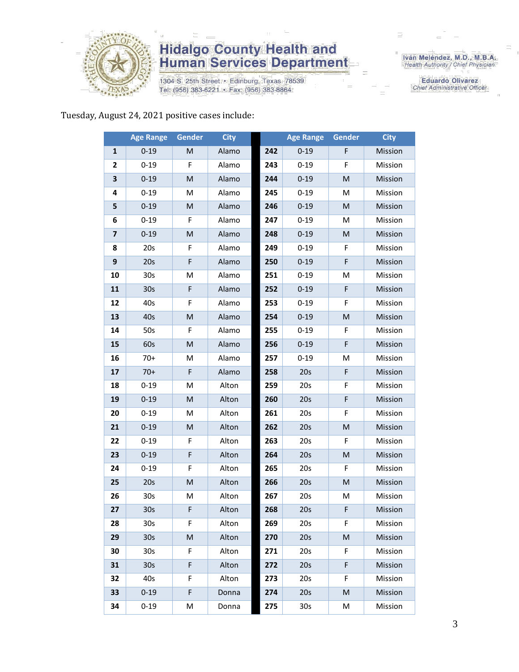

1304 S. 25th Street · Edinburg, Texas 78539 Tel: (956) 383-6221 · Fax: (956) 383-8864

Iván Meléndez, M.D., M.B.A.<br>Health Authority / Chief Physician

**Eduardo Olivarez** Chief Administrative Officer

#### Tuesday, August 24, 2021 positive cases include:

|                         | <b>Age Range</b> | Gender                                                                                                     | <b>City</b> |     | <b>Age Range</b> | <b>Gender</b> | <b>City</b> |
|-------------------------|------------------|------------------------------------------------------------------------------------------------------------|-------------|-----|------------------|---------------|-------------|
| 1                       | $0 - 19$         | M                                                                                                          | Alamo       | 242 | $0 - 19$         | F             | Mission     |
| 2                       | $0 - 19$         | F                                                                                                          | Alamo       | 243 | $0 - 19$         | F             | Mission     |
| 3                       | $0 - 19$         | M                                                                                                          | Alamo       | 244 | $0 - 19$         | M             | Mission     |
| 4                       | $0 - 19$         | M                                                                                                          | Alamo       | 245 | $0 - 19$         | M             | Mission     |
| 5                       | $0 - 19$         | M                                                                                                          | Alamo       | 246 | $0 - 19$         | M             | Mission     |
| 6                       | $0 - 19$         | F                                                                                                          | Alamo       | 247 | $0 - 19$         | M             | Mission     |
| $\overline{\mathbf{z}}$ | $0 - 19$         | $\mathsf{M}% _{T}=\mathsf{M}_{T}\!\left( a,b\right) ,\ \mathsf{M}_{T}=\mathsf{M}_{T}\!\left( a,b\right) ,$ | Alamo       | 248 | $0 - 19$         | M             | Mission     |
| 8                       | 20s              | F                                                                                                          | Alamo       | 249 | $0 - 19$         | F             | Mission     |
| 9                       | 20s              | F                                                                                                          | Alamo       | 250 | $0 - 19$         | F             | Mission     |
| 10                      | 30 <sub>s</sub>  | M                                                                                                          | Alamo       | 251 | $0 - 19$         | M             | Mission     |
| 11                      | 30 <sub>s</sub>  | F                                                                                                          | Alamo       | 252 | $0 - 19$         | F             | Mission     |
| 12                      | 40s              | F                                                                                                          | Alamo       | 253 | $0 - 19$         | F             | Mission     |
| 13                      | 40s              | M                                                                                                          | Alamo       | 254 | $0 - 19$         | M             | Mission     |
| 14                      | 50s              | F                                                                                                          | Alamo       | 255 | $0 - 19$         | F             | Mission     |
| 15                      | 60s              | M                                                                                                          | Alamo       | 256 | $0 - 19$         | F             | Mission     |
| 16                      | 70+              | M                                                                                                          | Alamo       | 257 | $0 - 19$         | M             | Mission     |
| 17                      | $70+$            | F                                                                                                          | Alamo       | 258 | 20s              | F             | Mission     |
| 18                      | $0 - 19$         | M                                                                                                          | Alton       | 259 | 20s              | F             | Mission     |
| 19                      | $0 - 19$         | M                                                                                                          | Alton       | 260 | 20s              | F             | Mission     |
| 20                      | $0 - 19$         | M                                                                                                          | Alton       | 261 | 20s              | F             | Mission     |
| 21                      | $0 - 19$         | M                                                                                                          | Alton       | 262 | 20s              | M             | Mission     |
| 22                      | $0 - 19$         | F                                                                                                          | Alton       | 263 | 20s              | F             | Mission     |
| 23                      | $0 - 19$         | F                                                                                                          | Alton       | 264 | 20s              | M             | Mission     |
| 24                      | $0 - 19$         | F                                                                                                          | Alton       | 265 | 20s              | F             | Mission     |
| 25                      | 20s              | $\mathsf{M}% _{T}=\mathsf{M}_{T}\!\left( a,b\right) ,\ \mathsf{M}_{T}=\mathsf{M}_{T}\!\left( a,b\right) ,$ | Alton       | 266 | 20s              | M             | Mission     |
| 26                      | 30 <sub>s</sub>  | M                                                                                                          | Alton       | 267 | 20s              | M             | Mission     |
| 27                      | 30 <sub>s</sub>  | F                                                                                                          | Alton       | 268 | 20s              | F             | Mission     |
| 28                      | 30s              | F.                                                                                                         | Alton       | 269 | 20s              | F.            | Mission     |
| 29                      | 30 <sub>s</sub>  | M                                                                                                          | Alton       | 270 | 20s              | M             | Mission     |
| 30                      | 30 <sub>s</sub>  | F                                                                                                          | Alton       | 271 | 20s              | F             | Mission     |
| 31                      | 30 <sub>s</sub>  | F                                                                                                          | Alton       | 272 | 20s              | F             | Mission     |
| 32                      | 40s              | F                                                                                                          | Alton       | 273 | 20s              | F             | Mission     |
| 33                      | $0 - 19$         | F                                                                                                          | Donna       | 274 | 20s              | M             | Mission     |
| 34                      | $0 - 19$         | M                                                                                                          | Donna       | 275 | 30 <sub>s</sub>  | M             | Mission     |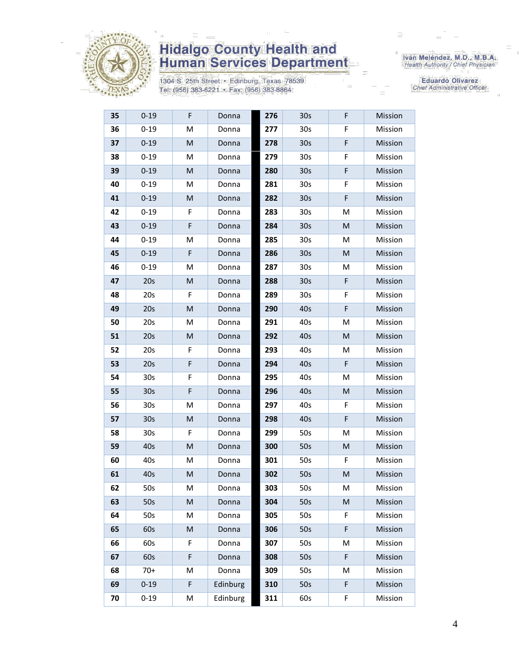

1304 S. 25th Street · Edinburg, Texas 78539 Tel: (956) 383-6221 · Fax: (956) 383-8864

Iván Meléndez, M.D., M.B.A.<br>Health Authority / Chief Physician

| 35 | $0 - 19$        | F | Donna    | 276 | 30 <sub>s</sub> | F | Mission |
|----|-----------------|---|----------|-----|-----------------|---|---------|
| 36 | $0 - 19$        | M | Donna    | 277 | 30 <sub>s</sub> | F | Mission |
| 37 | $0 - 19$        | M | Donna    | 278 | 30 <sub>s</sub> | F | Mission |
| 38 | $0 - 19$        | M | Donna    | 279 | 30 <sub>s</sub> | F | Mission |
| 39 | $0 - 19$        | M | Donna    | 280 | 30 <sub>s</sub> | F | Mission |
| 40 | $0 - 19$        | M | Donna    | 281 | 30 <sub>s</sub> | F | Mission |
| 41 | $0 - 19$        | M | Donna    | 282 | 30 <sub>s</sub> | F | Mission |
| 42 | $0 - 19$        | F | Donna    | 283 | 30 <sub>s</sub> | Μ | Mission |
| 43 | $0 - 19$        | F | Donna    | 284 | 30 <sub>s</sub> | M | Mission |
| 44 | $0 - 19$        | M | Donna    | 285 | 30 <sub>s</sub> | М | Mission |
| 45 | $0 - 19$        | F | Donna    | 286 | 30 <sub>s</sub> | M | Mission |
| 46 | $0 - 19$        | M | Donna    | 287 | 30 <sub>s</sub> | Μ | Mission |
| 47 | 20s             | M | Donna    | 288 | 30 <sub>s</sub> | F | Mission |
| 48 | 20s             | F | Donna    | 289 | 30 <sub>s</sub> | F | Mission |
| 49 | 20s             | M | Donna    | 290 | 40s             | F | Mission |
| 50 | 20s             | M | Donna    | 291 | 40s             | Μ | Mission |
| 51 | 20s             | M | Donna    | 292 | 40s             | M | Mission |
| 52 | 20s             | F | Donna    | 293 | 40s             | M | Mission |
| 53 | 20s             | F | Donna    | 294 | 40s             | F | Mission |
| 54 | 30 <sub>s</sub> | F | Donna    | 295 | 40s             | M | Mission |
| 55 | 30 <sub>s</sub> | F | Donna    | 296 | 40s             | M | Mission |
| 56 | 30 <sub>s</sub> | M | Donna    | 297 | 40s             | F | Mission |
| 57 | 30s             | M | Donna    | 298 | 40s             | F | Mission |
| 58 | 30 <sub>s</sub> | F | Donna    | 299 | 50s             | M | Mission |
| 59 | 40s             | M | Donna    | 300 | 50s             | M | Mission |
| 60 | 40s             | M | Donna    | 301 | 50s             | F | Mission |
| 61 | 40s             | M | Donna    | 302 | 50s             | M | Mission |
| 62 | 50s             | M | Donna    | 303 | 50s             | M | Mission |
| 63 | 50s             | M | Donna    | 304 | 50s             | M | Mission |
| 64 | 50s             | M | Donna    | 305 | 50s             | F | Mission |
| 65 | 60s             | M | Donna    | 306 | 50s             | F | Mission |
| 66 | 60s             | F | Donna    | 307 | 50s             | Μ | Mission |
| 67 | 60s             | F | Donna    | 308 | 50s             | F | Mission |
| 68 | $70+$           | M | Donna    | 309 | 50s             | Μ | Mission |
| 69 | $0 - 19$        | F | Edinburg | 310 | 50s             | F | Mission |
| 70 | $0 - 19$        | М | Edinburg | 311 | 60s             | F | Mission |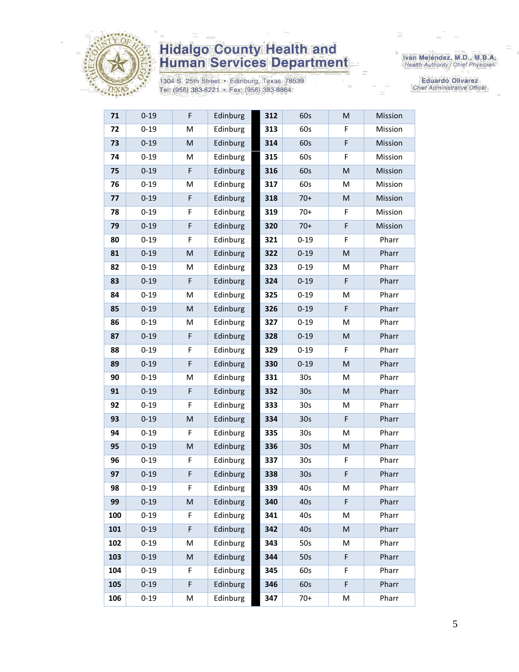

1304 S. 25th Street • Edinburg, Texas 78539<br>Tel: (956) 383-6221 • Fax: (956) 383-8864

Iván Meléndez, M.D., M.B.A.<br>Health Authority / Chief Physician

Eduardo Olivarez Chief Administrative Officer

| 71  | $0 - 19$ | F           | Edinburg | 312 | 60s             | M           | Mission |
|-----|----------|-------------|----------|-----|-----------------|-------------|---------|
| 72  | $0 - 19$ | M           | Edinburg | 313 | 60s             | F           | Mission |
| 73  | $0 - 19$ | M           | Edinburg | 314 | 60s             | $\mathsf F$ | Mission |
| 74  | $0 - 19$ | M           | Edinburg | 315 | 60s             | F           | Mission |
| 75  | $0 - 19$ | F           | Edinburg | 316 | 60s             | M           | Mission |
| 76  | $0 - 19$ | M           | Edinburg | 317 | 60s             | M           | Mission |
| 77  | $0 - 19$ | F           | Edinburg | 318 | $70+$           | M           | Mission |
| 78  | $0 - 19$ | F           | Edinburg | 319 | $70+$           | F           | Mission |
| 79  | $0 - 19$ | F           | Edinburg | 320 | $70+$           | F           | Mission |
| 80  | $0 - 19$ | F           | Edinburg | 321 | $0 - 19$        | F           | Pharr   |
| 81  | $0 - 19$ | M           | Edinburg | 322 | $0 - 19$        | M           | Pharr   |
| 82  | $0 - 19$ | M           | Edinburg | 323 | $0 - 19$        | M           | Pharr   |
| 83  | $0 - 19$ | F           | Edinburg | 324 | $0 - 19$        | F           | Pharr   |
| 84  | $0 - 19$ | M           | Edinburg | 325 | $0 - 19$        | M           | Pharr   |
| 85  | $0 - 19$ | M           | Edinburg | 326 | $0 - 19$        | F           | Pharr   |
| 86  | $0 - 19$ | M           | Edinburg | 327 | $0 - 19$        | M           | Pharr   |
| 87  | $0 - 19$ | F           | Edinburg | 328 | $0 - 19$        | M           | Pharr   |
| 88  | $0 - 19$ | F           | Edinburg | 329 | $0 - 19$        | F           | Pharr   |
| 89  | $0 - 19$ | $\mathsf F$ | Edinburg | 330 | $0 - 19$        | M           | Pharr   |
| 90  | $0 - 19$ | M           | Edinburg | 331 | 30 <sub>s</sub> | M           | Pharr   |
| 91  | $0 - 19$ | F           | Edinburg | 332 | 30 <sub>s</sub> | M           | Pharr   |
| 92  | $0 - 19$ | F           | Edinburg | 333 | 30 <sub>s</sub> | M           | Pharr   |
| 93  | $0 - 19$ | M           | Edinburg | 334 | 30 <sub>s</sub> | F           | Pharr   |
| 94  | $0 - 19$ | F           | Edinburg | 335 | 30 <sub>s</sub> | M           | Pharr   |
| 95  | $0 - 19$ | M           | Edinburg | 336 | 30 <sub>s</sub> | M           | Pharr   |
| 96  | $0 - 19$ | F           | Edinburg | 337 | 30 <sub>s</sub> | F           | Pharr   |
| 97  | $0 - 19$ | F           | Edinburg | 338 | 30s             | F           | Pharr   |
| 98  | $0 - 19$ | F           | Edinburg | 339 | 40s             | M           | Pharr   |
| 99  | $0 - 19$ | M           | Edinburg | 340 | 40s             | F           | Pharr   |
| 100 | $0 - 19$ | F           | Edinburg | 341 | 40s             | M           | Pharr   |
| 101 | $0 - 19$ | F           | Edinburg | 342 | 40s             | ${\sf M}$   | Pharr   |
| 102 | $0 - 19$ | M           | Edinburg | 343 | 50s             | M           | Pharr   |
| 103 | $0 - 19$ | M           | Edinburg | 344 | 50s             | F           | Pharr   |
| 104 | $0 - 19$ | F           | Edinburg | 345 | 60s             | F           | Pharr   |
| 105 | $0 - 19$ | F           | Edinburg | 346 | 60s             | F           | Pharr   |
| 106 | $0 - 19$ | М           | Edinburg | 347 | $70+$           | M           | Pharr   |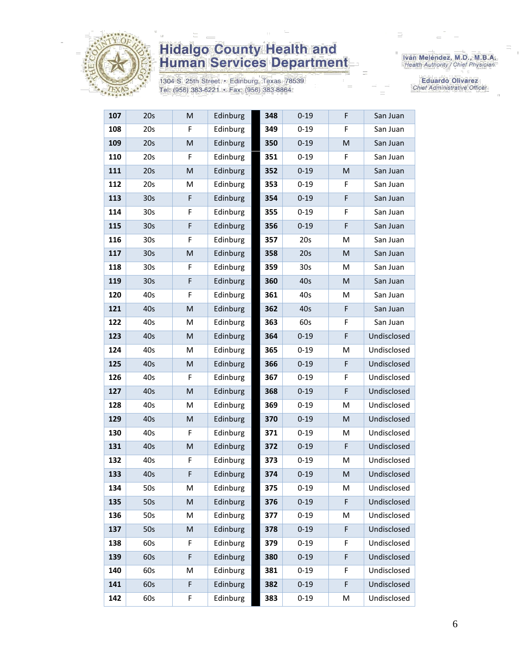

1304 S. 25th Street · Edinburg, Texas 78539 Tel: (956) 383-6221 · Fax: (956) 383-8864

Iván Meléndez, M.D., M.B.A.<br>Health Authority / Chief Physician

| 107 | 20s             | M         | Edinburg | 348 | $0 - 19$        | F | San Juan    |
|-----|-----------------|-----------|----------|-----|-----------------|---|-------------|
| 108 | 20s             | F         | Edinburg | 349 | $0 - 19$        | F | San Juan    |
| 109 | 20s             | M         | Edinburg | 350 | $0 - 19$        | M | San Juan    |
| 110 | 20s             | F         | Edinburg | 351 | $0 - 19$        | F | San Juan    |
| 111 | 20s             | ${\sf M}$ | Edinburg | 352 | $0 - 19$        | M | San Juan    |
| 112 | 20s             | M         | Edinburg | 353 | $0 - 19$        | F | San Juan    |
| 113 | 30 <sub>s</sub> | F         | Edinburg | 354 | $0 - 19$        | F | San Juan    |
| 114 | 30 <sub>s</sub> | F         | Edinburg | 355 | $0 - 19$        | F | San Juan    |
| 115 | 30 <sub>s</sub> | F         | Edinburg | 356 | $0 - 19$        | F | San Juan    |
| 116 | 30 <sub>s</sub> | F         | Edinburg | 357 | 20s             | M | San Juan    |
| 117 | 30 <sub>s</sub> | M         | Edinburg | 358 | 20s             | M | San Juan    |
| 118 | 30 <sub>s</sub> | F         | Edinburg | 359 | 30 <sub>s</sub> | М | San Juan    |
| 119 | 30 <sub>s</sub> | F         | Edinburg | 360 | 40s             | M | San Juan    |
| 120 | 40s             | F         | Edinburg | 361 | 40s             | M | San Juan    |
| 121 | 40s             | M         | Edinburg | 362 | 40s             | F | San Juan    |
| 122 | 40s             | M         | Edinburg | 363 | 60s             | F | San Juan    |
| 123 | 40s             | M         | Edinburg | 364 | $0 - 19$        | F | Undisclosed |
| 124 | 40s             | M         | Edinburg | 365 | $0 - 19$        | Μ | Undisclosed |
| 125 | 40s             | M         | Edinburg | 366 | $0 - 19$        | F | Undisclosed |
| 126 | 40s             | F         | Edinburg | 367 | $0 - 19$        | F | Undisclosed |
| 127 | 40s             | M         | Edinburg | 368 | $0 - 19$        | F | Undisclosed |
| 128 | 40s             | М         | Edinburg | 369 | $0 - 19$        | M | Undisclosed |
| 129 | 40s             | M         | Edinburg | 370 | $0 - 19$        | M | Undisclosed |
| 130 | 40s             | F         | Edinburg | 371 | $0 - 19$        | M | Undisclosed |
| 131 | 40s             | M         | Edinburg | 372 | $0 - 19$        | F | Undisclosed |
| 132 | 40s             | F         | Edinburg | 373 | $0 - 19$        | M | Undisclosed |
| 133 | 40s             | F         | Edinburg | 374 | $0 - 19$        | M | Undisclosed |
| 134 | 50s             | M         | Edinburg | 375 | $0 - 19$        | M | Undisclosed |
| 135 | 50s             | M         | Edinburg | 376 | $0 - 19$        | F | Undisclosed |
| 136 | 50s             | M         | Edinburg | 377 | $0 - 19$        | M | Undisclosed |
| 137 | 50s             | M         | Edinburg | 378 | $0 - 19$        | F | Undisclosed |
| 138 | 60s             | F         | Edinburg | 379 | $0 - 19$        | F | Undisclosed |
| 139 | 60s             | F         | Edinburg | 380 | $0 - 19$        | F | Undisclosed |
| 140 | 60s             | M         | Edinburg | 381 | $0 - 19$        | F | Undisclosed |
| 141 | 60s             | F         | Edinburg | 382 | $0 - 19$        | F | Undisclosed |
| 142 | 60s             | F         | Edinburg | 383 | $0 - 19$        | M | Undisclosed |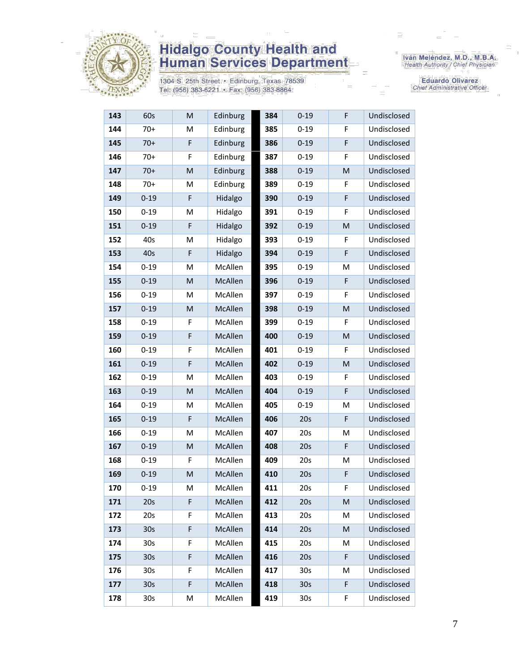

1304 S. 25th Street · Edinburg, Texas 78539 Tel: (956) 383-6221 · Fax: (956) 383-8864

Iván Meléndez, M.D., M.B.A.<br>Health Authority / Chief Physician

| 143 | 60s             | M | Edinburg | 384 | $0 - 19$        | F           | Undisclosed |
|-----|-----------------|---|----------|-----|-----------------|-------------|-------------|
| 144 | $70+$           | M | Edinburg | 385 | $0 - 19$        | F           | Undisclosed |
| 145 | $70+$           | F | Edinburg | 386 | $0 - 19$        | $\mathsf F$ | Undisclosed |
| 146 | $70+$           | F | Edinburg | 387 | $0 - 19$        | F           | Undisclosed |
| 147 | $70+$           | M | Edinburg | 388 | $0 - 19$        | M           | Undisclosed |
| 148 | $70+$           | M | Edinburg | 389 | $0 - 19$        | F           | Undisclosed |
| 149 | $0 - 19$        | F | Hidalgo  | 390 | $0 - 19$        | $\mathsf F$ | Undisclosed |
| 150 | $0 - 19$        | M | Hidalgo  | 391 | $0 - 19$        | F           | Undisclosed |
| 151 | $0 - 19$        | F | Hidalgo  | 392 | $0 - 19$        | M           | Undisclosed |
| 152 | 40s             | M | Hidalgo  | 393 | $0 - 19$        | F           | Undisclosed |
| 153 | 40s             | F | Hidalgo  | 394 | $0 - 19$        | F           | Undisclosed |
| 154 | $0 - 19$        | M | McAllen  | 395 | $0 - 19$        | м           | Undisclosed |
| 155 | $0 - 19$        | M | McAllen  | 396 | $0 - 19$        | F           | Undisclosed |
| 156 | $0 - 19$        | M | McAllen  | 397 | $0 - 19$        | F           | Undisclosed |
| 157 | $0 - 19$        | M | McAllen  | 398 | $0 - 19$        | M           | Undisclosed |
| 158 | $0 - 19$        | F | McAllen  | 399 | $0 - 19$        | F           | Undisclosed |
| 159 | $0 - 19$        | F | McAllen  | 400 | $0 - 19$        | M           | Undisclosed |
| 160 | $0 - 19$        | F | McAllen  | 401 | $0 - 19$        | F           | Undisclosed |
| 161 | $0 - 19$        | F | McAllen  | 402 | $0 - 19$        | M           | Undisclosed |
| 162 | $0 - 19$        | M | McAllen  | 403 | $0 - 19$        | F           | Undisclosed |
| 163 | $0 - 19$        | M | McAllen  | 404 | $0 - 19$        | $\mathsf F$ | Undisclosed |
| 164 | $0 - 19$        | M | McAllen  | 405 | $0 - 19$        | M           | Undisclosed |
| 165 | $0 - 19$        | F | McAllen  | 406 | 20s             | F           | Undisclosed |
| 166 | $0 - 19$        | M | McAllen  | 407 | 20s             | M           | Undisclosed |
| 167 | $0 - 19$        | M | McAllen  | 408 | 20s             | F           | Undisclosed |
| 168 | $0 - 19$        | F | McAllen  | 409 | 20s             | M           | Undisclosed |
| 169 | $0 - 19$        | M | McAllen  | 410 | 20s             | $\mathsf F$ | Undisclosed |
| 170 | $0 - 19$        | M | McAllen  | 411 | 20s             | F           | Undisclosed |
| 171 | 20s             | F | McAllen  | 412 | 20s             | M           | Undisclosed |
| 172 | 20s             | F | McAllen  | 413 | 20s             | M           | Undisclosed |
| 173 | 30 <sub>s</sub> | F | McAllen  | 414 | 20s             | M           | Undisclosed |
| 174 | 30s             | F | McAllen  | 415 | 20s             | Μ           | Undisclosed |
| 175 | 30 <sub>s</sub> | F | McAllen  | 416 | 20s             | F           | Undisclosed |
| 176 | 30 <sub>s</sub> | F | McAllen  | 417 | 30 <sub>s</sub> | Μ           | Undisclosed |
| 177 | 30 <sub>s</sub> | F | McAllen  | 418 | 30 <sub>s</sub> | F           | Undisclosed |
| 178 | 30 <sub>s</sub> | М | McAllen  | 419 | 30 <sub>s</sub> | F           | Undisclosed |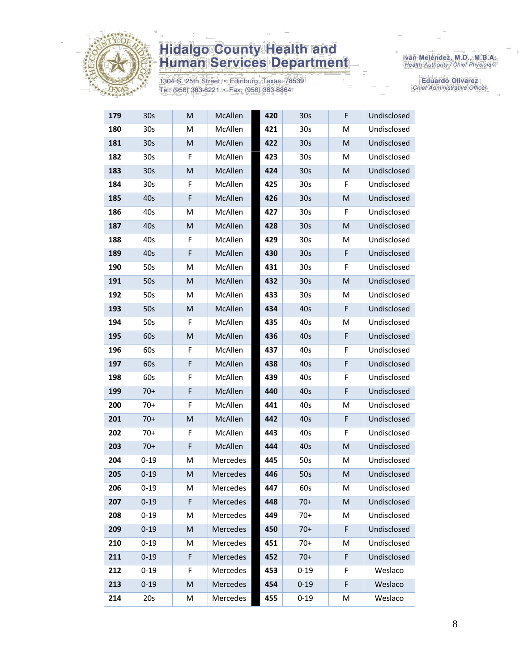

1304 S. 25th Street · Edinburg, Texas 78539 Tel: (956) 383-6221 · Fax: (956) 383-8864

Iván Meléndez, M.D., M.B.A.<br>Health Authority / Chief Physician

| 179 | 30s             | M         | McAllen         | 420 | 30s             | F           | Undisclosed |
|-----|-----------------|-----------|-----------------|-----|-----------------|-------------|-------------|
| 180 | 30 <sub>s</sub> | M         | McAllen         | 421 | 30 <sub>s</sub> | M           | Undisclosed |
| 181 | 30 <sub>s</sub> | M         | McAllen         | 422 | 30 <sub>s</sub> | M           | Undisclosed |
| 182 | 30 <sub>s</sub> | F         | McAllen         | 423 | 30 <sub>s</sub> | M           | Undisclosed |
| 183 | 30 <sub>s</sub> | M         | <b>McAllen</b>  | 424 | 30 <sub>s</sub> | M           | Undisclosed |
| 184 | 30 <sub>s</sub> | F         | McAllen         | 425 | 30 <sub>s</sub> | F           | Undisclosed |
| 185 | 40s             | F         | McAllen         | 426 | 30 <sub>s</sub> | M           | Undisclosed |
| 186 | 40s             | М         | McAllen         | 427 | 30 <sub>s</sub> | F           | Undisclosed |
| 187 | 40s             | M         | McAllen         | 428 | 30 <sub>s</sub> | M           | Undisclosed |
| 188 | 40s             | F         | McAllen         | 429 | 30s             | М           | Undisclosed |
| 189 | 40s             | F         | McAllen         | 430 | 30 <sub>s</sub> | F           | Undisclosed |
| 190 | 50s             | М         | McAllen         | 431 | 30 <sub>s</sub> | F           | Undisclosed |
| 191 | 50s             | M         | McAllen         | 432 | 30 <sub>s</sub> | M           | Undisclosed |
| 192 | 50s             | M         | McAllen         | 433 | 30 <sub>s</sub> | M           | Undisclosed |
| 193 | 50s             | M         | McAllen         | 434 | 40s             | F           | Undisclosed |
| 194 | 50s             | F         | McAllen         | 435 | 40s             | M           | Undisclosed |
| 195 | 60s             | M         | McAllen         | 436 | 40s             | F           | Undisclosed |
| 196 | 60s             | F         | McAllen         | 437 | 40s             | F           | Undisclosed |
| 197 | 60s             | F         | McAllen         | 438 | 40s             | F           | Undisclosed |
| 198 | 60s             | F         | McAllen         | 439 | 40s             | F           | Undisclosed |
| 199 | $70+$           | F         | McAllen         | 440 | 40s             | F           | Undisclosed |
| 200 | $70+$           | F         | McAllen         | 441 | 40s             | M           | Undisclosed |
| 201 | $70+$           | M         | McAllen         | 442 | 40s             | F           | Undisclosed |
| 202 | $70+$           | F         | McAllen         | 443 | 40s             | F           | Undisclosed |
| 203 | $70+$           | F         | McAllen         | 444 | 40s             | M           | Undisclosed |
| 204 | $0 - 19$        | M         | Mercedes        | 445 | 50s             | M           | Undisclosed |
| 205 | $0 - 19$        | M         | Mercedes        | 446 | 50s             | M           | Undisclosed |
| 206 | $0 - 19$        | M         | <b>Mercedes</b> | 447 | 60s             | M           | Undisclosed |
| 207 | $0 - 19$        | F         | <b>Mercedes</b> | 448 | $70+$           | М           | Undisclosed |
| 208 | $0 - 19$        | M         | Mercedes        | 449 | $70+$           | M           | Undisclosed |
| 209 | $0 - 19$        | M         | Mercedes        | 450 | $70+$           | $\mathsf F$ | Undisclosed |
| 210 | $0 - 19$        | M         | Mercedes        | 451 | $70+$           | Μ           | Undisclosed |
| 211 | $0 - 19$        | F         | Mercedes        | 452 | $70+$           | F           | Undisclosed |
| 212 | $0 - 19$        | F         | Mercedes        | 453 | $0 - 19$        | F           | Weslaco     |
| 213 | $0 - 19$        | ${\sf M}$ | Mercedes        | 454 | $0 - 19$        | F           | Weslaco     |
| 214 | 20s             | M         | Mercedes        | 455 | $0 - 19$        | М           | Weslaco     |